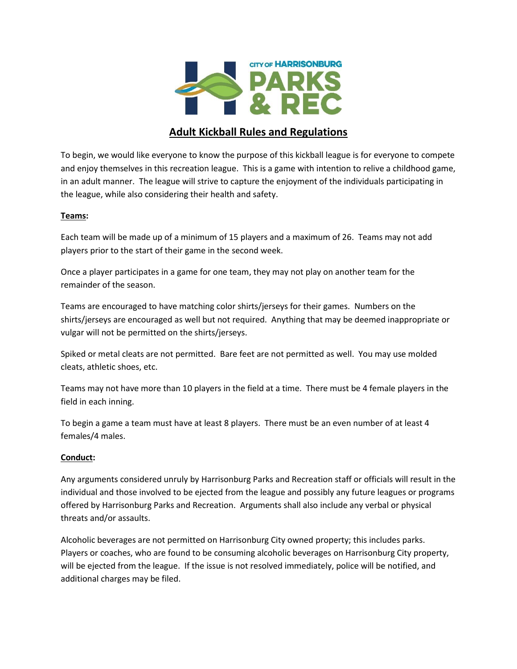

# **Adult Kickball Rules and Regulations**

To begin, we would like everyone to know the purpose of this kickball league is for everyone to compete and enjoy themselves in this recreation league. This is a game with intention to relive a childhood game, in an adult manner. The league will strive to capture the enjoyment of the individuals participating in the league, while also considering their health and safety.

### **Teams:**

Each team will be made up of a minimum of 15 players and a maximum of 26. Teams may not add players prior to the start of their game in the second week.

Once a player participates in a game for one team, they may not play on another team for the remainder of the season.

Teams are encouraged to have matching color shirts/jerseys for their games. Numbers on the shirts/jerseys are encouraged as well but not required. Anything that may be deemed inappropriate or vulgar will not be permitted on the shirts/jerseys.

Spiked or metal cleats are not permitted. Bare feet are not permitted as well. You may use molded cleats, athletic shoes, etc.

Teams may not have more than 10 players in the field at a time. There must be 4 female players in the field in each inning.

To begin a game a team must have at least 8 players. There must be an even number of at least 4 females/4 males.

## **Conduct:**

Any arguments considered unruly by Harrisonburg Parks and Recreation staff or officials will result in the individual and those involved to be ejected from the league and possibly any future leagues or programs offered by Harrisonburg Parks and Recreation. Arguments shall also include any verbal or physical threats and/or assaults.

Alcoholic beverages are not permitted on Harrisonburg City owned property; this includes parks. Players or coaches, who are found to be consuming alcoholic beverages on Harrisonburg City property, will be ejected from the league. If the issue is not resolved immediately, police will be notified, and additional charges may be filed.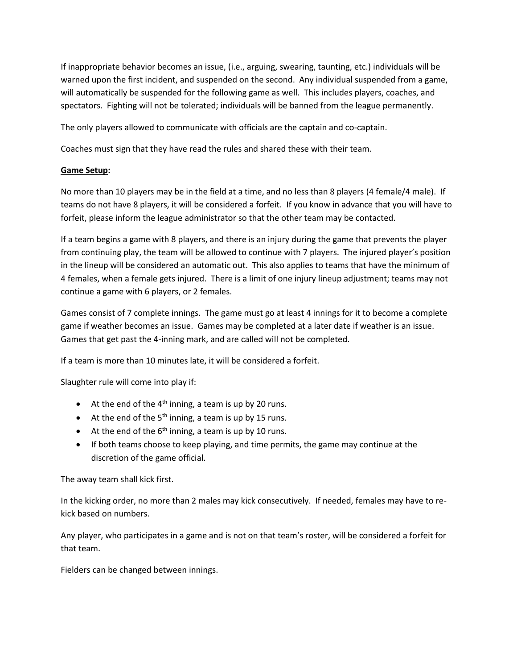If inappropriate behavior becomes an issue, (i.e., arguing, swearing, taunting, etc.) individuals will be warned upon the first incident, and suspended on the second. Any individual suspended from a game, will automatically be suspended for the following game as well. This includes players, coaches, and spectators. Fighting will not be tolerated; individuals will be banned from the league permanently.

The only players allowed to communicate with officials are the captain and co-captain.

Coaches must sign that they have read the rules and shared these with their team.

### **Game Setup:**

No more than 10 players may be in the field at a time, and no less than 8 players (4 female/4 male). If teams do not have 8 players, it will be considered a forfeit. If you know in advance that you will have to forfeit, please inform the league administrator so that the other team may be contacted.

If a team begins a game with 8 players, and there is an injury during the game that prevents the player from continuing play, the team will be allowed to continue with 7 players. The injured player's position in the lineup will be considered an automatic out. This also applies to teams that have the minimum of 4 females, when a female gets injured. There is a limit of one injury lineup adjustment; teams may not continue a game with 6 players, or 2 females.

Games consist of 7 complete innings. The game must go at least 4 innings for it to become a complete game if weather becomes an issue. Games may be completed at a later date if weather is an issue. Games that get past the 4-inning mark, and are called will not be completed.

If a team is more than 10 minutes late, it will be considered a forfeit.

Slaughter rule will come into play if:

- At the end of the  $4<sup>th</sup>$  inning, a team is up by 20 runs.
- At the end of the  $5<sup>th</sup>$  inning, a team is up by 15 runs.
- At the end of the  $6<sup>th</sup>$  inning, a team is up by 10 runs.
- If both teams choose to keep playing, and time permits, the game may continue at the discretion of the game official.

The away team shall kick first.

In the kicking order, no more than 2 males may kick consecutively. If needed, females may have to rekick based on numbers.

Any player, who participates in a game and is not on that team's roster, will be considered a forfeit for that team.

Fielders can be changed between innings.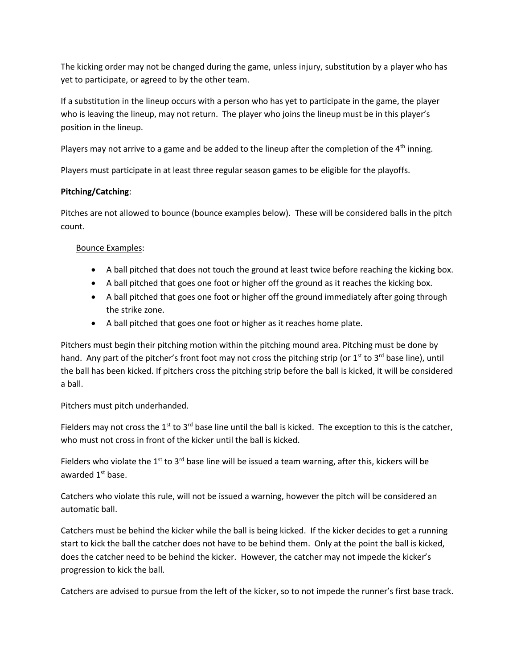The kicking order may not be changed during the game, unless injury, substitution by a player who has yet to participate, or agreed to by the other team.

If a substitution in the lineup occurs with a person who has yet to participate in the game, the player who is leaving the lineup, may not return. The player who joins the lineup must be in this player's position in the lineup.

Players may not arrive to a game and be added to the lineup after the completion of the 4<sup>th</sup> inning.

Players must participate in at least three regular season games to be eligible for the playoffs.

## **Pitching/Catching**:

Pitches are not allowed to bounce (bounce examples below). These will be considered balls in the pitch count.

# Bounce Examples:

- A ball pitched that does not touch the ground at least twice before reaching the kicking box.
- A ball pitched that goes one foot or higher off the ground as it reaches the kicking box.
- A ball pitched that goes one foot or higher off the ground immediately after going through the strike zone.
- A ball pitched that goes one foot or higher as it reaches home plate.

Pitchers must begin their pitching motion within the pitching mound area. Pitching must be done by hand. Any part of the pitcher's front foot may not cross the pitching strip (or 1<sup>st</sup> to 3<sup>rd</sup> base line), until the ball has been kicked. If pitchers cross the pitching strip before the ball is kicked, it will be considered a ball.

Pitchers must pitch underhanded.

Fielders may not cross the  $1^{st}$  to  $3^{rd}$  base line until the ball is kicked. The exception to this is the catcher, who must not cross in front of the kicker until the ball is kicked.

Fielders who violate the 1<sup>st</sup> to 3<sup>rd</sup> base line will be issued a team warning, after this, kickers will be awarded 1<sup>st</sup> base.

Catchers who violate this rule, will not be issued a warning, however the pitch will be considered an automatic ball.

Catchers must be behind the kicker while the ball is being kicked. If the kicker decides to get a running start to kick the ball the catcher does not have to be behind them. Only at the point the ball is kicked, does the catcher need to be behind the kicker. However, the catcher may not impede the kicker's progression to kick the ball.

Catchers are advised to pursue from the left of the kicker, so to not impede the runner's first base track.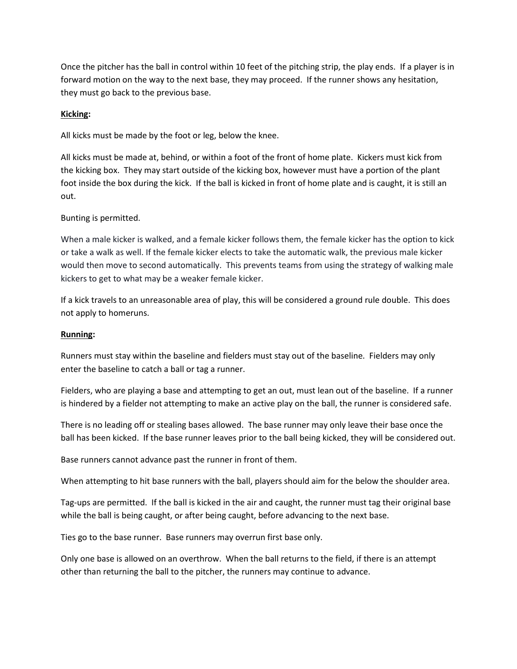Once the pitcher has the ball in control within 10 feet of the pitching strip, the play ends. If a player is in forward motion on the way to the next base, they may proceed. If the runner shows any hesitation, they must go back to the previous base.

### **Kicking:**

All kicks must be made by the foot or leg, below the knee.

All kicks must be made at, behind, or within a foot of the front of home plate. Kickers must kick from the kicking box. They may start outside of the kicking box, however must have a portion of the plant foot inside the box during the kick. If the ball is kicked in front of home plate and is caught, it is still an out.

### Bunting is permitted.

When a male kicker is walked, and a female kicker follows them, the female kicker has the option to kick or take a walk as well. If the female kicker elects to take the automatic walk, the previous male kicker would then move to second automatically. This prevents teams from using the strategy of walking male kickers to get to what may be a weaker female kicker.

If a kick travels to an unreasonable area of play, this will be considered a ground rule double. This does not apply to homeruns.

### **Running:**

Runners must stay within the baseline and fielders must stay out of the baseline. Fielders may only enter the baseline to catch a ball or tag a runner.

Fielders, who are playing a base and attempting to get an out, must lean out of the baseline. If a runner is hindered by a fielder not attempting to make an active play on the ball, the runner is considered safe.

There is no leading off or stealing bases allowed. The base runner may only leave their base once the ball has been kicked. If the base runner leaves prior to the ball being kicked, they will be considered out.

Base runners cannot advance past the runner in front of them.

When attempting to hit base runners with the ball, players should aim for the below the shoulder area.

Tag-ups are permitted. If the ball is kicked in the air and caught, the runner must tag their original base while the ball is being caught, or after being caught, before advancing to the next base.

Ties go to the base runner. Base runners may overrun first base only.

Only one base is allowed on an overthrow. When the ball returns to the field, if there is an attempt other than returning the ball to the pitcher, the runners may continue to advance.